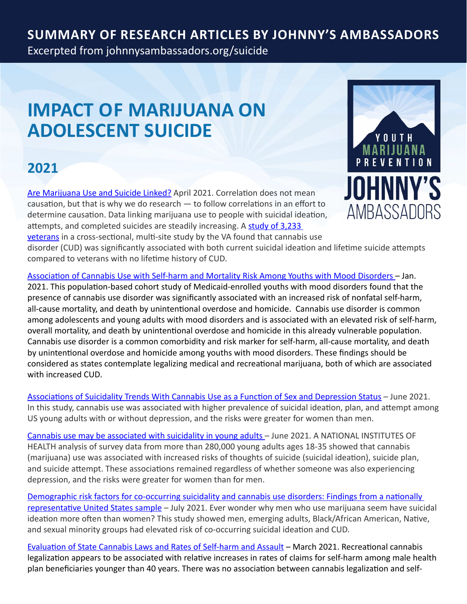#### **Summary of Research Articles by Johnny's Ambassadors**

Excerpted from [johnnysambassadors.org/s](johnnysambassadors.org/suicide)uicide

# **IMPACT OF MARIJUANA ON ADOLESCENT SUICIDE**

### **2021**

[Are Marijuana Use and Suicide Linked?](https://www.medpagetoday.com/psychiatry/addictions/92253?trw=no) April 2021. Correlation does not mean causation, but that is why we do research — to follow correlations in an effort to determine causation. Data linking marijuana use to people with suicidal ideation, attempts, and completed suicides are steadily increasing. A study of [3,233](https://www.sciencedirect.com/science/article/abs/pii/S0022395616302102?via%3Dihub) [veterans](https://www.sciencedirect.com/science/article/abs/pii/S0022395616302102?via%3Dihub) in a cross-sectional, multi-site study by the VA found that cannabis use disorder (CUD) was significantly associated with both current suicidal ideation and lifetime suicide attempts compared to veterans with no lifetime history of CUD.

[Association](https://jamanetwork.com/journals/jamapediatrics/article-abstract/2775255?utm_source=twitter&utm_campaign=content-shareicons&utm_content=article_engagement&utm_medium=social&utm_term=011921#.YAeu2FcUj7U.twitter) of Cannabis Use with Self-harm and Mortality Risk Among Youths with Mood Disorders – Jan. 2021. This population-based cohort study of Medicaid-enrolled youths with mood disorders found that the presence of cannabis use disorder was significantly associated with an increased risk of nonfatal self-harm, all-cause mortality, and death by unintentional overdose and homicide. Cannabis use disorder is common among adolescents and young adults with mood disorders and is associated with an elevated risk of self-harm, overall mortality, and death by unintentional overdose and homicide in this already vulnerable population. Cannabis use disorder is a common comorbidity and risk marker for self-harm, all-cause mortality, and death by unintentional overdose and homicide among youths with mood disorders. These findings should be considered as states contemplate legalizing medical and recreational marijuana, both of which are associated with increased CUD.

[Associations](https://jamanetwork.com/journals/jamanetworkopen/fullarticle/2781215) of Suicidality Trends With Cannabis Use as a Function of Sex and Depression Status – June 2021. In this study, cannabis use was associated with higher prevalence of suicidal ideation, plan, and attempt among US young adults with or without depression, and the risks were greater for women than men.

Cannabis use may be [associated](https://www.nih.gov/news-events/news-releases/cannabis-use-may-be-associated-suicidality-young-adults) with suicidality in young adults – June 2021. A NATIONAL INSTITUTES OF HEALTH analysis of survey data from more than 280,000 young adults ages 18-35 showed that cannabis (marijuana) use was associated with increased risks of thoughts of suicide (suicidal ideation), suicide plan, and suicide attempt. These associations remained regardless of whether someone was also experiencing depression, and the risks were greater for women than for men.

[Demographic](https://pubmed.ncbi.nlm.nih.gov/34284313/) risk factors for co-occurring suicidality and cannabis use disorders: Findings from a nationally [representative](https://pubmed.ncbi.nlm.nih.gov/34284313/) United States sample – July 2021. Ever wonder why men who use marijuana seem have suicidal ideation more often than women? This study showed men, emerging adults, Black/African American, Native, and sexual minority groups had elevated risk of co-occurring suicidal ideation and CUD.

[Evaluation](https://jamanetwork.com/journals/jamanetworkopen/fullarticle/2777634?utm_source=silverchair&utm_medium=email&utm_campaign=article_alert-jamanetworkopen&utm_content=wklyforyou&utm_term=031921) of State Cannabis Laws and Rates of Self-harm and Assault – March 2021. Recreational cannabis legalization appears to be associated with relative increases in rates of claims for self-harm among male health plan beneficiaries younger than 40 years. There was no association between cannabis legalization and self-

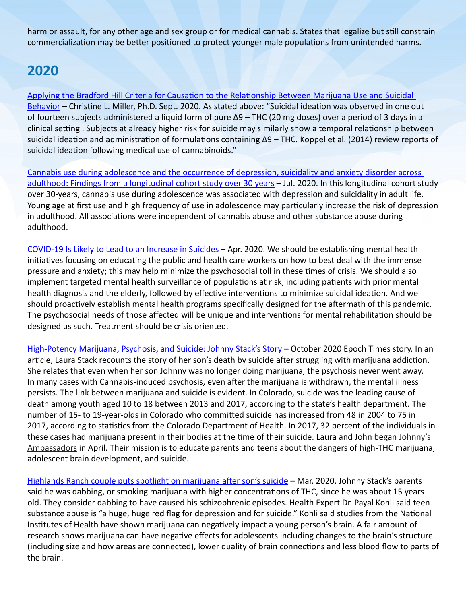harm or assault, for any other age and sex group or for medical cannabis. States that legalize but still constrain commercialization may be better positioned to protect younger male populations from unintended harms.

### **2020**

Applying the Bradford Hill Criteria for Causation to the [Relationship](https://johnnysambassadors.org/wp-content/uploads/2020/09/Applying-the-Bradford-Hill-criteria-to-the-marijuana-suicide-question.pdf) Between Marijuana Use and Suicidal [Behavior](https://johnnysambassadors.org/wp-content/uploads/2020/09/Applying-the-Bradford-Hill-criteria-to-the-marijuana-suicide-question.pdf) – Christine L. Miller, Ph.D. Sept. 2020. As stated above: "Suicidal ideation was observed in one out of fourteen subjects administered a liquid form of pure ∆9 – THC (20 mg doses) over a period of 3 days in a clinical setting . Subjects at already higher risk for suicide may similarly show a temporal relationship between suicidal ideation and administration of formulations containing ∆9 – THC. Koppel et al. (2014) review reports of suicidal ideation following medical use of cannabinoids."

Cannabis use during [adolescence](https://www.sciencedirect.com/science/article/abs/pii/S0165032719320919?via%3Dihub) and the occurrence of depression, suicidality and anxiety disorder across adulthood: Findings from a [longitudinal](https://www.sciencedirect.com/science/article/abs/pii/S0165032719320919?via%3Dihub) cohort study over 30 years - Jul. 2020. In this longitudinal cohort study over 30-years, cannabis use during adolescence was associated with depression and suicidality in adult life. Young age at first use and high frequency of use in adolescence may particularly increase the risk of depression in adulthood. All associations were independent of cannabis abuse and other substance abuse during adulthood.

[COVID-19](https://blogs.scientificamerican.com/observations/covid-19-is-likely-to-lead-to-an-increase-in-suicides/) Is Likely to Lead to an Increase in Suicides – Apr. 2020. We should be establishing mental health initiatives focusing on educating the public and health care workers on how to best deal with the immense pressure and anxiety; this may help minimize the psychosocial toll in these times of crisis. We should also implement targeted mental health surveillance of populations at risk, including patients with prior mental health diagnosis and the elderly, followed by effective interventions to minimize suicidal ideation. And we should proactively establish mental health programs specifically designed for the aftermath of this pandemic. The psychosocial needs of those affected will be unique and interventions for mental rehabilitation should be designed us such. Treatment should be crisis oriented.

[High-Potency](https://www.theepochtimes.com/high-potency-marijuana-psychosis-and-suicide-johnny-stacks-story_3534763.html) Marijuana, Psychosis, and Suicide: Johnny Stack's Story – October 2020 Epoch Times story. In an article, Laura Stack recounts the story of her son's death by suicide after struggling with marijuana addiction. She relates that even when her son Johnny was no longer doing marijuana, the psychosis never went away. In many cases with Cannabis-induced psychosis, even after the marijuana is withdrawn, the mental illness persists. The link between marijuana and suicide is evident. In Colorado, suicide was the leading cause of death among youth aged 10 to 18 between 2013 and 2017, according to the state's health department. The number of 15- to 19-year-olds in Colorado who committed suicide has increased from 48 in 2004 to 75 in 2017, according to statistics from the Colorado Department of Health. In 2017, 32 percent of the individuals in these cases had marijuana present in their bodies at the time of their suicide. Laura and John began [Johnny's](https://johnnysambassadors.org/) [Ambassadors](https://johnnysambassadors.org/) in April. Their mission is to educate parents and teens about the dangers of high-THC marijuana, adolescent brain development, and suicide.

Highlands Ranch couple puts spotlight on [marijuana](https://www.9news.com/article/news/health/highlands-ranch-couple-puts-spotlight-on-marijuana-after-sons-suicide/73-40a0cf97-52be-4768-81b9-ed68fa9e7335) after son's suicide – Mar. 2020. Johnny Stack's parents said he was dabbing, or smoking marijuana with higher concentrations of THC, since he was about 15 years old. They consider dabbing to have caused his schizophrenic episodes. Health Expert Dr. Payal Kohli said teen substance abuse is "a huge, huge red flag for depression and for suicide." Kohli said studies from the National Institutes of Health have shown marijuana can negatively impact a young person's brain. A fair amount of research shows marijuana can have negative effects for adolescents including changes to the brain's structure (including size and how areas are connected), lower quality of brain connections and less blood flow to parts of the brain.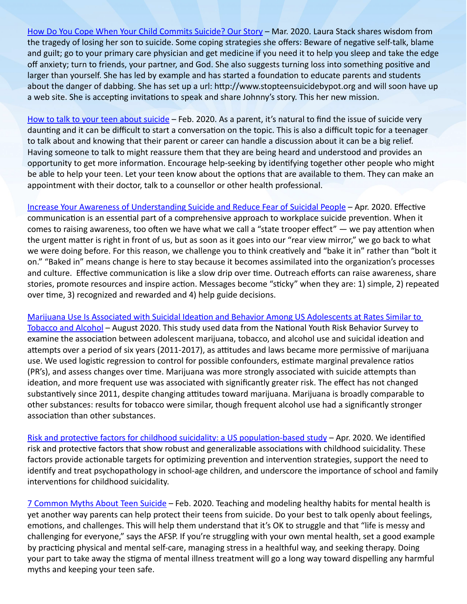How Do You Cope When Your Child [Commits](https://thriveglobal.com/stories/your-child-commits-suicide/) Suicide? Our Story – Mar. 2020. Laura Stack shares wisdom from the tragedy of losing her son to suicide. Some coping strategies she offers: Beware of negative self-talk, blame and guilt; go to your primary care physician and get medicine if you need it to help you sleep and take the edge off anxiety; turn to friends, your partner, and God. She also suggests turning loss into something positive and larger than yourself. She has led by example and has started a foundation to educate parents and students about the danger of dabbing. She has set up a url: http://www.stopteensuicidebypot.org and will soon have up a web site. She is accepting invitations to speak and share Johnny's story. This her new mission.

How to talk to your teen about [suicide](https://www.9news.com/article/news/health/talk-to-teens-prevent-suicide/73-ab06340d-d416-40f1-87e8-68118611980c) – Feb. 2020. As a parent, it's natural to find the issue of suicide very daunting and it can be difficult to start a conversation on the topic. This is also a difficult topic for a teenager to talk about and knowing that their parent or career can handle a discussion about it can be a big relief. Having someone to talk to might reassure them that they are being heard and understood and provides an opportunity to get more information. Encourage help-seeking by identifying together other people who might be able to help your teen. Let your teen know about the options that are available to them. They can make an appointment with their doctor, talk to a counsellor or other health professional.

Increase Your Awareness of [Understanding](https://www.youtube.com/watch?v=rXeDo_ON5f4&feature=youtu.be) Suicide and Reduce Fear of Suicidal People – Apr. 2020. Effective communication is an essential part of a comprehensive approach to workplace suicide prevention. When it comes to raising awareness, too often we have what we call a "state trooper effect"  $-$  we pay attention when the urgent matter is right in front of us, but as soon as it goes into our "rear view mirror," we go back to what we were doing before. For this reason, we challenge you to think creatively and "bake it in" rather than "bolt it on." "Baked in" means change is here to stay because it becomes assimilated into the organization's processes and culture. Effective communication is like a slow drip over time. Outreach efforts can raise awareness, share stories, promote resources and inspire action. Messages become "sticky" when they are: 1) simple, 2) repeated over time, 3) recognized and rewarded and 4) help guide decisions.

Marijuana Use Is Associated with Suicidal Ideation and Behavior Among US [Adolescents](https://sci-hub.tw/https:/www.tandfonline.com/doi/full/10.1080/13811118.2020.1804025) at Rates Similar to [Tobacco](https://sci-hub.tw/https:/www.tandfonline.com/doi/full/10.1080/13811118.2020.1804025) and Alcohol – August 2020. This study used data from the National Youth Risk Behavior Survey to examine the association between adolescent marijuana, tobacco, and alcohol use and suicidal ideation and attempts over a period of six years (2011-2017), as attitudes and laws became more permissive of marijuana use. We used logistic regression to control for possible confounders, estimate marginal prevalence ratios (PR's), and assess changes over time. Marijuana was more strongly associated with suicide attempts than ideation, and more frequent use was associated with significantly greater risk. The effect has not changed substantively since 2011, despite changing attitudes toward marijuana. Marijuana is broadly comparable to other substances: results for tobacco were similar, though frequent alcohol use had a significantly stronger association than other substances.

Risk and protective factors for childhood suicidality: a US [population-based](https://www.thelancet.com/pdfs/journals/lanpsy/PIIS2215-0366(20)30049-3.pdf) study - Apr. 2020. We identified risk and protective factors that show robust and generalizable associations with childhood suicidality. These factors provide actionable targets for optimizing prevention and intervention strategies, support the need to identify and treat psychopathology in school-age children, and underscore the importance of school and family interventions for childhood suicidality.

7 [Common](https://www.verywellmind.com/common-myths-about-teen-suicide-2611327) Myths About Teen Suicide – Feb. 2020. Teaching and modeling healthy habits for mental health is yet another way parents can help protect their teens from suicide. Do your best to talk openly about feelings, emotions, and challenges. This will help them understand that it's OK to struggle and that "life is messy and challenging for everyone," says the AFSP. If you're struggling with your own mental health, set a good example by practicing physical and mental self-care, managing stress in a healthful way, and seeking therapy. Doing your part to take away the stigma of mental illness treatment will go a long way toward dispelling any harmful myths and keeping your teen safe.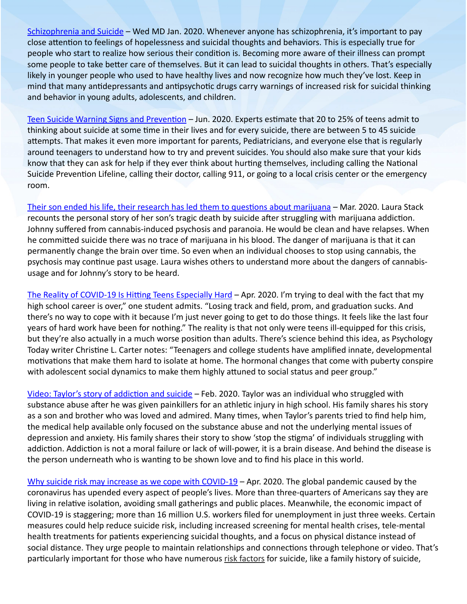[Schizophrenia](https://www.webmd.com/schizophrenia/schizophrenia-and-suicide#1) and Suicide – Wed MD Jan. 2020. Whenever anyone has schizophrenia, it's important to pay close attention to feelings of hopelessness and suicidal thoughts and behaviors. This is especially true for people who start to realize how serious their condition is. Becoming more aware of their illness can prompt some people to take better care of themselves. But it can lead to suicidal thoughts in others. That's especially likely in younger people who used to have healthy lives and now recognize how much they've lost. Keep in mind that many antidepressants and antipsychotic drugs carry warnings of increased risk for suicidal thinking and behavior in young adults, adolescents, and children.

Teen Suicide Warning Signs and [Prevention](https://www.verywellmind.com/teen-suicide-prevention-2634284) – Jun. 2020. Experts estimate that 20 to 25% of teens admit to thinking about suicide at some time in their lives and for every suicide, there are between 5 to 45 suicide attempts. That makes it even more important for parents, Pediatricians, and everyone else that is regularly around teenagers to understand how to try and prevent suicides. You should also make sure that your kids know that they can ask for help if they ever think about hurting themselves, including calling the National Suicide Prevention Lifeline, calling their doctor, calling 911, or going to a local crisis center or the emergency room.

Their son ended his life, their research has led them to questions about [marijuana](https://www.9news.com/video/news/health/their-son-ended-his-life-their-research-has-led-them-to-questions-about-marijuana/73-f50fe679-87ab-4e0a-b2db-b91ce0c3aa4e) – Mar. 2020. Laura Stack recounts the personal story of her son's tragic death by suicide after struggling with marijuana addiction. Johnny suffered from cannabis-induced psychosis and paranoia. He would be clean and have relapses. When he committed suicide there was no trace of marijuana in his blood. The danger of marijuana is that it can permanently change the brain over time. So even when an individual chooses to stop using cannabis, the psychosis may continue past usage. Laura wishes others to understand more about the dangers of cannabisusage and for Johnny's story to be heard.

The Reality of COVID-19 Is Hitting Teens [Especially](https://www.wired.com/story/covid-19-is-hitting-teens-especially-hard/) Hard – Apr. 2020. I'm trying to deal with the fact that my high school career is over," one student admits. "Losing track and field, prom, and graduation sucks. And there's no way to cope with it because I'm just never going to get to do those things. It feels like the last four years of hard work have been for nothing." The reality is that not only were teens ill-equipped for this crisis, but they're also actually in a much worse position than adults. There's science behind this idea, as Psychology Today writer Christine L. Carter notes: "Teenagers and college students have amplified innate, developmental motivations that make them hard to isolate at home. The hormonal changes that come with puberty conspire with adolescent social dynamics to make them highly attuned to social status and peer group."

Video: Taylor's story of [addiction](https://www.youtube.com/watch?v=2h7Cz37DzjM&feature=youtu.be&fbclid=IwAR20Sj6eb64pFSbMPI6uV-q8J4xzik01K3Rad4lUhoWLoszbqGqubqU_ABc) and suicide - Feb. 2020. Taylor was an individual who struggled with substance abuse after he was given painkillers for an athletic injury in high school. His family shares his story as a son and brother who was loved and admired. Many times, when Taylor's parents tried to find help him, the medical help available only focused on the substance abuse and not the underlying mental issues of depression and anxiety. His family shares their story to show 'stop the stigma' of individuals struggling with addiction. Addiction is not a moral failure or lack of will-power, it is a brain disease. And behind the disease is the person underneath who is wanting to be shown love and to find his place in this world.

Why suicide risk may increase as we cope with [COVID-19](https://mashable.com/article/suicide-risk-coronavirus-covid-19/) – Apr. 2020. The global pandemic caused by the coronavirus has upended every aspect of people's lives. More than three-quarters of Americans say they are living in relative isolation, avoiding small gatherings and public places. Meanwhile, the economic impact of COVID-19 is staggering; more than 16 million U.S. workers filed for unemployment in just three weeks. Certain measures could help reduce suicide risk, including increased screening for mental health crises, tele-mental health treatments for patients experiencing suicidal thoughts, and a focus on physical distance instead of social distance. They urge people to maintain relationships and connections through telephone or video. That's particularly important for those who have numerous risk [factors](https://www.cdc.gov/violenceprevention/suicide/riskprotectivefactors.html) for suicide, like a family history of suicide,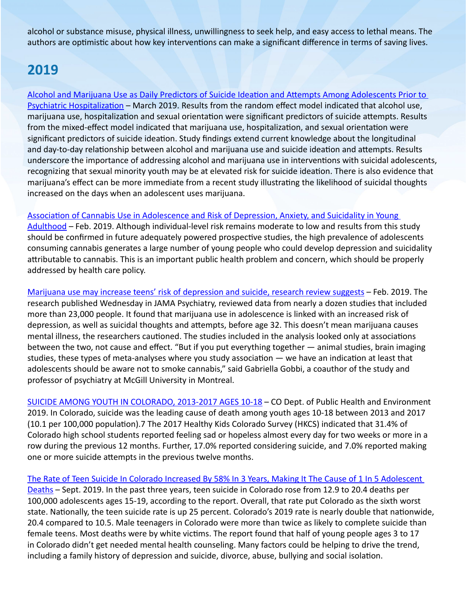alcohol or substance misuse, physical illness, unwillingness to seek help, and easy access to lethal means. The authors are optimistic about how key interventions can make a significant difference in terms of saving lives.

# **2019**

Alcohol and Marijuana Use as Daily Predictors of Suicide Ideation and Attempts Among [Adolescents](https://www.sciencedirect.com/science/article/abs/pii/S0165178118323321?via%3Dihub) Prior to Psychiatric [Hospitalization](https://www.sciencedirect.com/science/article/abs/pii/S0165178118323321?via%3Dihub) – March 2019. Results from the random effect model indicated that alcohol use, marijuana use, hospitalization and sexual orientation were significant predictors of suicide attempts. Results from the mixed-effect model indicated that marijuana use, hospitalization, and sexual orientation were significant predictors of suicide ideation. Study findings extend current knowledge about the longitudinal and day-to-day relationship between alcohol and marijuana use and suicide ideation and attempts. Results underscore the importance of addressing alcohol and marijuana use in interventions with suicidal adolescents, recognizing that sexual minority youth may be at elevated risk for suicide ideation. There is also evidence that marijuana's effect can be more immediate from a recent study illustrating the likelihood of suicidal thoughts increased on the days when an adolescent uses marijuana.

#### Association of Cannabis Use in [Adolescence](https://jamanetwork.com/journals/jamapsychiatry/fullarticle/2723657?fbclid=IwAR0xqWFEH_fvqoRW7bN8Y8GqeJ7Bar3gNanodnFAGBaRVcsD83l9DH0jaVI) and Risk of Depression, Anxiety, and Suicidality in Young

[Adulthood](https://jamanetwork.com/journals/jamapsychiatry/fullarticle/2723657?fbclid=IwAR0xqWFEH_fvqoRW7bN8Y8GqeJ7Bar3gNanodnFAGBaRVcsD83l9DH0jaVI) – Feb. 2019. Although individual-level risk remains moderate to low and results from this study should be confirmed in future adequately powered prospective studies, the high prevalence of adolescents consuming cannabis generates a large number of young people who could develop depression and suicidality attributable to cannabis. This is an important public health problem and concern, which should be properly addressed by health care policy.

Marijuana use may increase teens' risk of [depression](https://www.inquirer.com/health/marijuana-cannabis-depression-anxiety-suicide-mental-health-20190213.html) and suicide, research review suggests – Feb. 2019. The research published Wednesday in JAMA Psychiatry, reviewed data from nearly a dozen studies that included more than 23,000 people. It found that marijuana use in adolescence is linked with an increased risk of depression, as well as suicidal thoughts and attempts, before age 32. This doesn't mean marijuana causes mental illness, the researchers cautioned. The studies included in the analysis looked only at associations between the two, not cause and effect. "But if you put everything together — animal studies, brain imaging studies, these types of meta-analyses where you study association — we have an indication at least that adolescents should be aware not to smoke cannabis," said Gabriella Gobbi, a coauthor of the study and professor of psychiatry at McGill University in Montreal.

SUICIDE AMONG YOUTH IN [COLORADO,](http://johnnysambassadors.org/wp-content/uploads/2020/06/Suicide-Among-Youth-in-Colorado-2013-2017-Ages-10-18.pdf) 2013-2017 AGES 10-18 – CO Dept. of Public Health and Environment 2019. In Colorado, suicide was the leading cause of death among youth ages 10-18 between 2013 and 2017 (10.1 per 100,000 population).7 The 2017 Healthy Kids Colorado Survey (HKCS) indicated that 31.4% of Colorado high school students reported feeling sad or hopeless almost every day for two weeks or more in a row during the previous 12 months. Further, 17.0% reported considering suicide, and 7.0% reported making one or more suicide attempts in the previous twelve months.

The Rate of Teen Suicide In Colorado Increased By 58% In 3 Years, Making It The Cause of 1 In 5 [Adolescent](https://www.cpr.org/2019/09/17/the-rate-of-teen-suicide-in-colorado-increased-by-58-percent-in-3-years-making-it-the-cause-of-1-in-5-adolescent-deaths/) [Deaths](https://www.cpr.org/2019/09/17/the-rate-of-teen-suicide-in-colorado-increased-by-58-percent-in-3-years-making-it-the-cause-of-1-in-5-adolescent-deaths/) – Sept. 2019. In the past three years, teen suicide in Colorado rose from 12.9 to 20.4 deaths per 100,000 adolescents ages 15-19, according to the report. Overall, that rate put Colorado as the sixth worst state. Nationally, the teen suicide rate is up 25 percent. Colorado's 2019 rate is nearly double that nationwide, 20.4 compared to 10.5. Male teenagers in Colorado were more than twice as likely to complete suicide than female teens. Most deaths were by white victims. The report found that half of young people ages 3 to 17 in Colorado didn't get needed mental health counseling. Many factors could be helping to drive the trend, including a family history of depression and suicide, divorce, abuse, bullying and social isolation.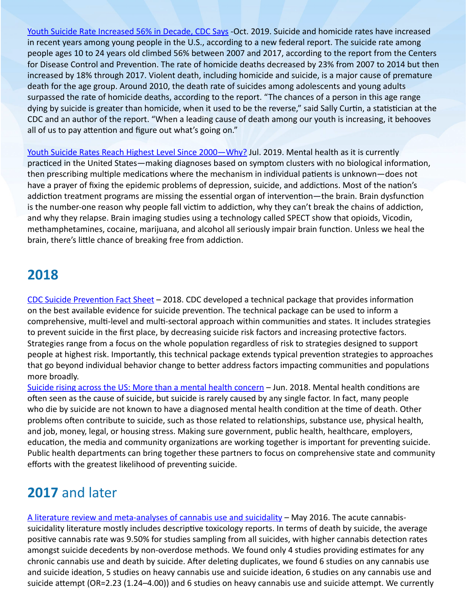Youth Suicide Rate [Increased](https://www.wsj.com/articles/youth-suicide-rate-rises-56-in-decade-cdc-says-11571284861) 56% in Decade, CDC Says -Oct. 2019. Suicide and homicide rates have increased in recent years among young people in the U.S., according to a new federal report. The suicide rate among people ages 10 to 24 years old climbed 56% between 2007 and 2017, according to the report from the Centers for Disease Control and Prevention. The rate of homicide deaths decreased by 23% from 2007 to 2014 but then increased by 18% through 2017. Violent death, including homicide and suicide, is a major cause of premature death for the age group. Around 2010, the death rate of suicides among adolescents and young adults surpassed the rate of homicide deaths, according to the report. "The chances of a person in this age range dying by suicide is greater than homicide, when it used to be the reverse," said Sally Curtin, a statistician at the CDC and an author of the report. "When a leading cause of death among our youth is increasing, it behooves all of us to pay attention and figure out what's going on."

Youth Suicide Rates Reach Highest Level Since [2000—Why](https://www.amenclinics.com/blog/youth-suicide-rates-reach-highest-level-since-2000-why/)? Jul. 2019. Mental health as it is currently practiced in the United States—making diagnoses based on symptom clusters with no biological information, then prescribing multiple medications where the mechanism in individual patients is unknown—does not have a prayer of fixing the epidemic problems of depression, suicide, and addictions. Most of the nation's addiction treatment programs are missing the essential organ of intervention—the brain. Brain dysfunction is the number-one reason why people fall victim to addiction, why they can't break the chains of addiction, and why they relapse. Brain imaging studies using a technology called SPECT show that opioids, Vicodin, methamphetamines, cocaine, marijuana, and alcohol all seriously impair brain function. Unless we heal the brain, there's little chance of breaking free from addiction.

#### **2018**

CDC Suicide [Prevention](https://www.cdc.gov/violenceprevention/pdf/suicide-factsheet.pdf) Fact Sheet – 2018. CDC developed a technical package that provides information on the best available evidence for suicide prevention. The technical package can be used to inform a comprehensive, multi-level and multi-sectoral approach within communities and states. It includes strategies to prevent suicide in the first place, by decreasing suicide risk factors and increasing protective factors. Strategies range from a focus on the whole population regardless of risk to strategies designed to support people at highest risk. Importantly, this technical package extends typical prevention strategies to approaches that go beyond individual behavior change to better address factors impacting communities and populations more broadly.

Suicide rising across the US: More than a mental health [concern](https://www.cdc.gov/vitalsigns/suicide/index.html) – Jun. 2018. Mental health conditions are often seen as the cause of suicide, but suicide is rarely caused by any single factor. In fact, many people who die by suicide are not known to have a diagnosed mental health condition at the time of death. Other problems often contribute to suicide, such as those related to relationships, substance use, physical health, and job, money, legal, or housing stress. Making sure government, public health, healthcare, employers, education, the media and community organizations are working together is important for preventing suicide. Public health departments can bring together these partners to focus on comprehensive state and community efforts with the greatest likelihood of preventing suicide.

## **2017** and later

A literature review and [meta-analyses](https://www.sciencedirect.com/science/article/abs/pii/S0165032715310004?via%3Dihub) of cannabis use and suicidality – May 2016. The acute cannabissuicidality literature mostly includes descriptive toxicology reports. In terms of death by suicide, the average positive cannabis rate was 9.50% for studies sampling from all suicides, with higher cannabis detection rates amongst suicide decedents by non-overdose methods. We found only 4 studies providing estimates for any chronic cannabis use and death by suicide. After deleting duplicates, we found 6 studies on any cannabis use and suicide ideation, 5 studies on heavy cannabis use and suicide ideation, 6 studies on any cannabis use and suicide attempt (OR=2.23 (1.24–4.00)) and 6 studies on heavy cannabis use and suicide attempt. We currently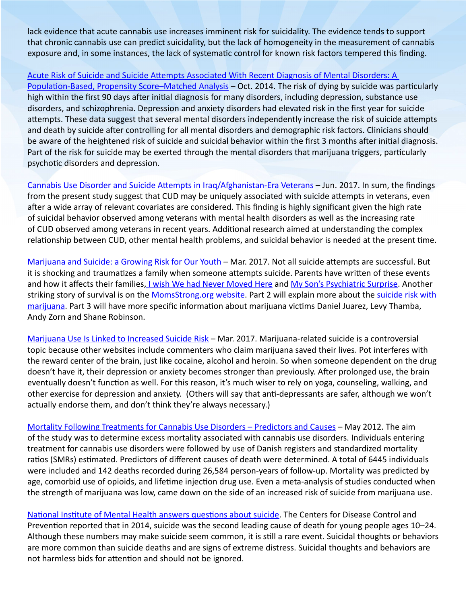lack evidence that acute cannabis use increases imminent risk for suicidality. The evidence tends to support that chronic cannabis use can predict suicidality, but the lack of homogeneity in the measurement of cannabis exposure and, in some instances, the lack of systematic control for known risk factors tempered this finding.

#### Acute Risk of Suicide and Suicide Attempts [Associated](https://www.ncbi.nlm.nih.gov/pmc/articles/PMC4197787/) With Recent Diagnosis of Mental Disorders: A

[Population-Based,](https://www.ncbi.nlm.nih.gov/pmc/articles/PMC4197787/) Propensity Score–Matched Analysis – Oct. 2014. The risk of dying by suicide was particularly high within the first 90 days after initial diagnosis for many disorders, including depression, substance use disorders, and schizophrenia. Depression and anxiety disorders had elevated risk in the first year for suicide attempts. These data suggest that several mental disorders independently increase the risk of suicide attempts and death by suicide after controlling for all mental disorders and demographic risk factors. Clinicians should be aware of the heightened risk of suicide and suicidal behavior within the first 3 months after initial diagnosis. Part of the risk for suicide may be exerted through the mental disorders that marijuana triggers, particularly psychotic disorders and depression.

Cannabis Use Disorder and Suicide Attempts in [Iraq/Afghanistan-Era](https://www.ncbi.nlm.nih.gov/pmc/articles/PMC5374045/) Veterans – Jun. 2017. In sum, the findings from the present study suggest that CUD may be uniquely associated with suicide attempts in veterans, even after a wide array of relevant covariates are considered. This finding is highly significant given the high rate of suicidal behavior observed among veterans with mental health disorders as well as the increasing rate of CUD observed among veterans in recent years. Additional research aimed at understanding the complex relationship between CUD, other mental health problems, and suicidal behavior is needed at the present time.

[Marijuana](https://poppot.org/2017/03/06/marijuana-suicide-growing-risk-youth/?fbclid=IwAR3G4J-gRk_dv0Wo7zyFdo229U6GjpLCMLyjaGtG95KfAGUlmDYH1BSYiE8) and Suicide: a Growing Risk for Our Youth – Mar. 2017. Not all suicide attempts are successful. But it is shocking and traumatizes a family when someone attempts suicide. Parents have written of these events and how it affects their families, I wish We had Never [Moved](http://poppot.org/2016/09/19/colorado-move-larger-forces-she-cant-control/) Here and My Son's [Psychiatric](http://poppot.org/2015/12/13/colorados-pot-greed-and-my-sons-psychiatric-hospital-surprise/) Surprise. Another striking story of survival is on the [MomsStrong.org](http://momsstrong.org/2016/03/01/one-moms-story-marijuana-kid/) website. Part 2 will explain more about the [suicide](http://poppot.org/2017/03/09/marijuana-increases-suicide-risk/) risk with [marijuana](http://poppot.org/2017/03/09/marijuana-increases-suicide-risk/). Part 3 will have more specific information about marijuana victims Daniel Juarez, Levy Thamba, Andy Zorn and Shane Robinson.

[Marijuana](https://poppot.org/2017/03/09/marijuana-increases-suicide-risk/?fbclid=IwAR2pj0GuFy8SekfV0SLvNIZpMYd99GnStSXA2WOeEwSyzhm9p_3C4frHUjo) Use Is Linked to Increased Suicide Risk - Mar. 2017. Marijuana-related suicide is a controversial topic because other websites include commenters who claim marijuana saved their lives. Pot interferes with the reward center of the brain, just like cocaine, alcohol and heroin. So when someone dependent on the drug doesn't have it, their depression or anxiety becomes stronger than previously. After prolonged use, the brain eventually doesn't function as well. For this reason, it's much wiser to rely on yoga, counseling, walking, and other exercise for depression and anxiety. (Others will say that anti-depressants are safer, although we won't actually endorse them, and don't think they're always necessary.)

Mortality Following [Treatments](https://www.uniad.org.br/wp-content/uploads/2012/11/blogs_1-s2.0-S0740547212003820-main_copia.pdf) for Cannabis Use Disorders – Predictors and Causes – May 2012. The aim of the study was to determine excess mortality associated with cannabis use disorders. Individuals entering treatment for cannabis use disorders were followed by use of Danish registers and standardized mortality ratios (SMRs) estimated. Predictors of different causes of death were determined. A total of 6445 individuals were included and 142 deaths recorded during 26,584 person-years of follow-up. Mortality was predicted by age, comorbid use of opioids, and lifetime injection drug use. Even a meta-analysis of studies conducted when the strength of marijuana was low, came down on the side of an increased risk of suicide from marijuana use.

National Institute of Mental Health answers [questions](https://www.nimh.nih.gov/health/publications/nimh-answers-questions-about-suicide/index.shtml) about suicide. The Centers for Disease Control and Prevention reported that in 2014, suicide was the second leading cause of death for young people ages 10–24. Although these numbers may make suicide seem common, it is still a rare event. Suicidal thoughts or behaviors are more common than suicide deaths and are signs of extreme distress. Suicidal thoughts and behaviors are not harmless bids for attention and should not be ignored.